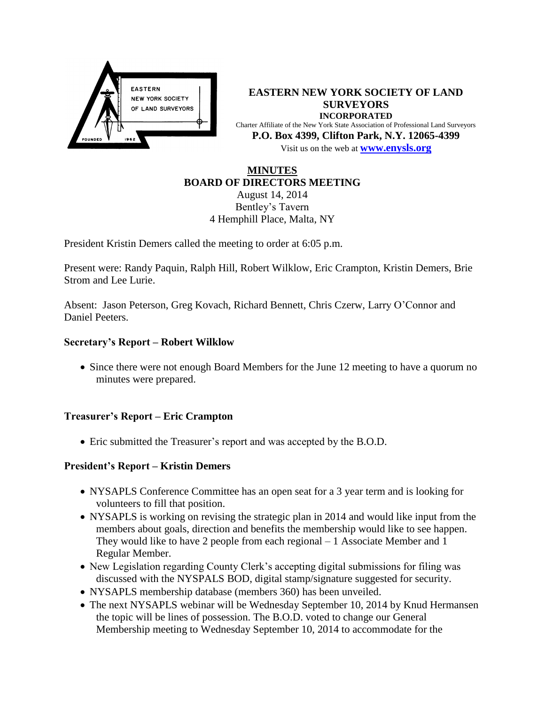

**EASTERN NEW YORK SOCIETY OF LAND SURVEYORS INCORPORATED** Charter Affiliate of the New York State Association of Professional Land Surveyors **P.O. Box 4399, Clifton Park, N.Y. 12065-4399** Visit us on the web at **[www.e](http://www.enysls.org/)nysls.org**

## **MINUTES BOARD OF DIRECTORS MEETING**

August 14, 2014 Bentley's Tavern 4 Hemphill Place, Malta, NY

President Kristin Demers called the meeting to order at 6:05 p.m.

Present were: Randy Paquin, Ralph Hill, Robert Wilklow, Eric Crampton, Kristin Demers, Brie Strom and Lee Lurie.

Absent: Jason Peterson, Greg Kovach, Richard Bennett, Chris Czerw, Larry O'Connor and Daniel Peeters.

## **Secretary's Report – Robert Wilklow**

• Since there were not enough Board Members for the June 12 meeting to have a quorum no minutes were prepared.

#### **Treasurer's Report – Eric Crampton**

Eric submitted the Treasurer's report and was accepted by the B.O.D.

## **President's Report – Kristin Demers**

- NYSAPLS Conference Committee has an open seat for a 3 year term and is looking for volunteers to fill that position.
- NYSAPLS is working on revising the strategic plan in 2014 and would like input from the members about goals, direction and benefits the membership would like to see happen. They would like to have 2 people from each regional – 1 Associate Member and 1 Regular Member.
- New Legislation regarding County Clerk's accepting digital submissions for filing was discussed with the NYSPALS BOD, digital stamp/signature suggested for security.
- NYSAPLS membership database (members 360) has been unveiled.
- The next NYSAPLS webinar will be Wednesday September 10, 2014 by Knud Hermansen the topic will be lines of possession. The B.O.D. voted to change our General Membership meeting to Wednesday September 10, 2014 to accommodate for the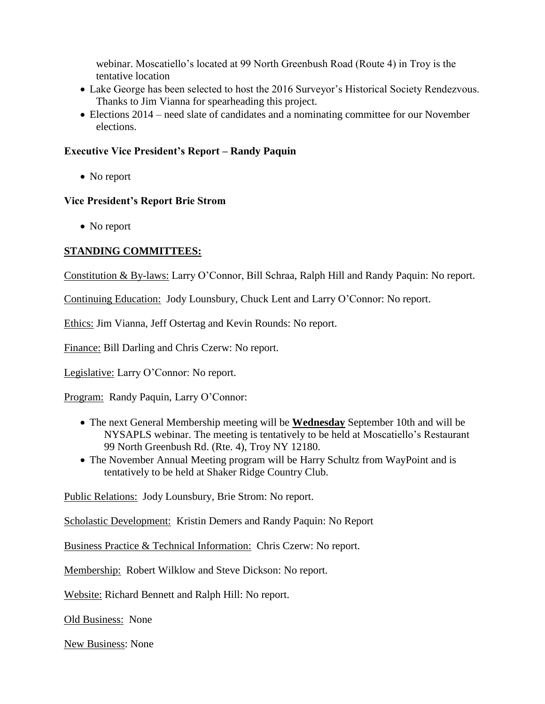webinar. Moscatiello's located at 99 North Greenbush Road (Route 4) in Troy is the tentative location

- Lake George has been selected to host the 2016 Surveyor's Historical Society Rendezvous. Thanks to Jim Vianna for spearheading this project.
- Elections 2014 need slate of candidates and a nominating committee for our November elections.

# **Executive Vice President's Report – Randy Paquin**

• No report

# **Vice President's Report Brie Strom**

• No report

# **STANDING COMMITTEES:**

Constitution & By-laws: Larry O'Connor, Bill Schraa, Ralph Hill and Randy Paquin: No report.

Continuing Education: Jody Lounsbury, Chuck Lent and Larry O'Connor: No report.

Ethics: Jim Vianna, Jeff Ostertag and Kevin Rounds: No report.

Finance: Bill Darling and Chris Czerw: No report.

Legislative: Larry O'Connor: No report.

Program: Randy Paquin, Larry O'Connor:

- The next General Membership meeting will be **Wednesday** September 10th and will be NYSAPLS webinar. The meeting is tentatively to be held at Moscatiello's Restaurant 99 North Greenbush Rd. (Rte. 4), Troy NY 12180.
- The November Annual Meeting program will be Harry Schultz from WayPoint and is tentatively to be held at Shaker Ridge Country Club.

Public Relations: Jody Lounsbury, Brie Strom: No report.

Scholastic Development: Kristin Demers and Randy Paquin: No Report

Business Practice & Technical Information: Chris Czerw: No report.

Membership: Robert Wilklow and Steve Dickson: No report.

Website: Richard Bennett and Ralph Hill: No report.

Old Business: None

New Business: None